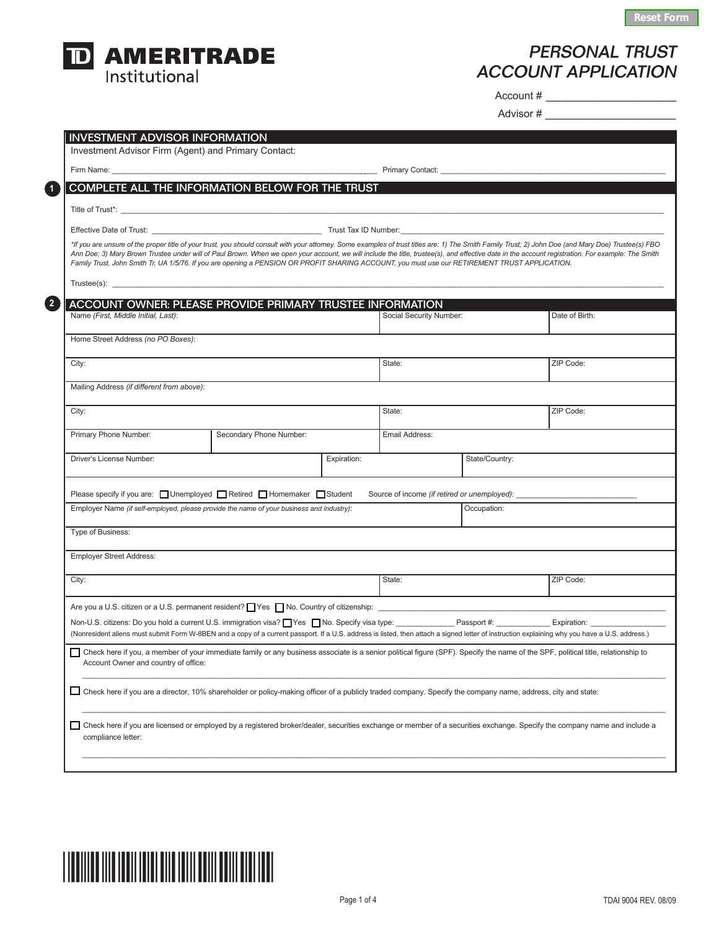

## Personal TRUST account APPLICATION

Account # \_\_\_\_\_\_\_\_\_\_\_\_\_\_\_\_\_\_\_\_

Advisor # \_\_\_\_\_\_\_\_\_\_\_\_\_\_\_\_\_\_\_\_

|                                                                                                                                                                     |                         |             |                         | Primary Contact: University Contact: |                                                                                                                                                                                                                                                                                                                                                                                                           |
|---------------------------------------------------------------------------------------------------------------------------------------------------------------------|-------------------------|-------------|-------------------------|--------------------------------------|-----------------------------------------------------------------------------------------------------------------------------------------------------------------------------------------------------------------------------------------------------------------------------------------------------------------------------------------------------------------------------------------------------------|
| COMPLETE ALL THE INFORMATION BELOW FOR THE TRUST                                                                                                                    |                         |             |                         |                                      |                                                                                                                                                                                                                                                                                                                                                                                                           |
|                                                                                                                                                                     |                         |             |                         |                                      |                                                                                                                                                                                                                                                                                                                                                                                                           |
|                                                                                                                                                                     |                         |             |                         |                                      |                                                                                                                                                                                                                                                                                                                                                                                                           |
| Family Trust, John Smith Tr, UA 1/5/76. If you are opening a PENSION OR PROFIT SHARING ACCOUNT, you must use our RETIREMENT TRUST APPLICATION.                      |                         |             |                         |                                      | *If you are unsure of the proper title of your trust, you should consult with your attorney. Some examples of trust titles are: 1) The Smith Family Trust; 2) John Doe (and Mary Doe) Trustee(s) FBO<br>Ann Doe; 3) Mary Brown Trustee under will of Paul Brown. When we open your account, we will include the title, trustee(s), and effective date in the account registration. For example: The Smith |
| $Trustee(s):$ $\qquad \qquad$                                                                                                                                       |                         |             |                         |                                      |                                                                                                                                                                                                                                                                                                                                                                                                           |
| <b>ACCOUNT OWNER: PLEASE PROVIDE PRIMARY TRUSTEE INFORMATION</b>                                                                                                    |                         |             |                         |                                      |                                                                                                                                                                                                                                                                                                                                                                                                           |
| Name (First, Middle Initial, Last):                                                                                                                                 |                         |             | Social Security Number: |                                      | Date of Birth:                                                                                                                                                                                                                                                                                                                                                                                            |
| Home Street Address (no PO Boxes):                                                                                                                                  |                         |             |                         |                                      |                                                                                                                                                                                                                                                                                                                                                                                                           |
| City:                                                                                                                                                               |                         |             | State:                  |                                      | ZIP Code:                                                                                                                                                                                                                                                                                                                                                                                                 |
| Mailing Address (if different from above):                                                                                                                          |                         |             |                         |                                      |                                                                                                                                                                                                                                                                                                                                                                                                           |
| City:                                                                                                                                                               |                         |             | State:                  |                                      | ZIP Code:                                                                                                                                                                                                                                                                                                                                                                                                 |
| Primary Phone Number:                                                                                                                                               | Secondary Phone Number: |             | Email Address:          |                                      |                                                                                                                                                                                                                                                                                                                                                                                                           |
| Driver's License Number:                                                                                                                                            |                         | Expiration: |                         | State/Country:                       |                                                                                                                                                                                                                                                                                                                                                                                                           |
|                                                                                                                                                                     |                         |             |                         |                                      |                                                                                                                                                                                                                                                                                                                                                                                                           |
| Please specify if you are: □ Unemployed □ Retired □ Homemaker □ Student<br>Employer Name (if self-employed, please provide the name of your business and industry): |                         |             |                         | Occupation:                          | Source of income (if retired or unemployed): ___________________________________                                                                                                                                                                                                                                                                                                                          |
| Type of Business:                                                                                                                                                   |                         |             |                         |                                      |                                                                                                                                                                                                                                                                                                                                                                                                           |
|                                                                                                                                                                     |                         |             |                         |                                      |                                                                                                                                                                                                                                                                                                                                                                                                           |
| <b>Employer Street Address:</b>                                                                                                                                     |                         |             |                         |                                      |                                                                                                                                                                                                                                                                                                                                                                                                           |
| City:                                                                                                                                                               |                         |             | State:                  |                                      | ZIP Code:                                                                                                                                                                                                                                                                                                                                                                                                 |
|                                                                                                                                                                     |                         |             |                         |                                      |                                                                                                                                                                                                                                                                                                                                                                                                           |
|                                                                                                                                                                     |                         |             |                         |                                      | Non-U.S. citizens: Do you hold a current U.S. immigration visa? Ves No. Specify visa type: Passport #: Passport #: Expiration: Expiration:                                                                                                                                                                                                                                                                |
|                                                                                                                                                                     |                         |             |                         |                                      | (Nonresident aliens must submit Form W-8BEN and a copy of a current passport. If a U.S. address is listed, then attach a signed letter of instruction explaining why you have a U.S. address.)                                                                                                                                                                                                            |
|                                                                                                                                                                     |                         |             |                         |                                      | Check here if you, a member of your immediate family or any business associate is a senior political figure (SPF). Specify the name of the SPF, political title, relationship to                                                                                                                                                                                                                          |
| Account Owner and country of office:                                                                                                                                |                         |             |                         |                                      |                                                                                                                                                                                                                                                                                                                                                                                                           |
| □ Check here if you are a director, 10% shareholder or policy-making officer of a publicly traded company. Specify the company name, address, city and state:       |                         |             |                         |                                      |                                                                                                                                                                                                                                                                                                                                                                                                           |

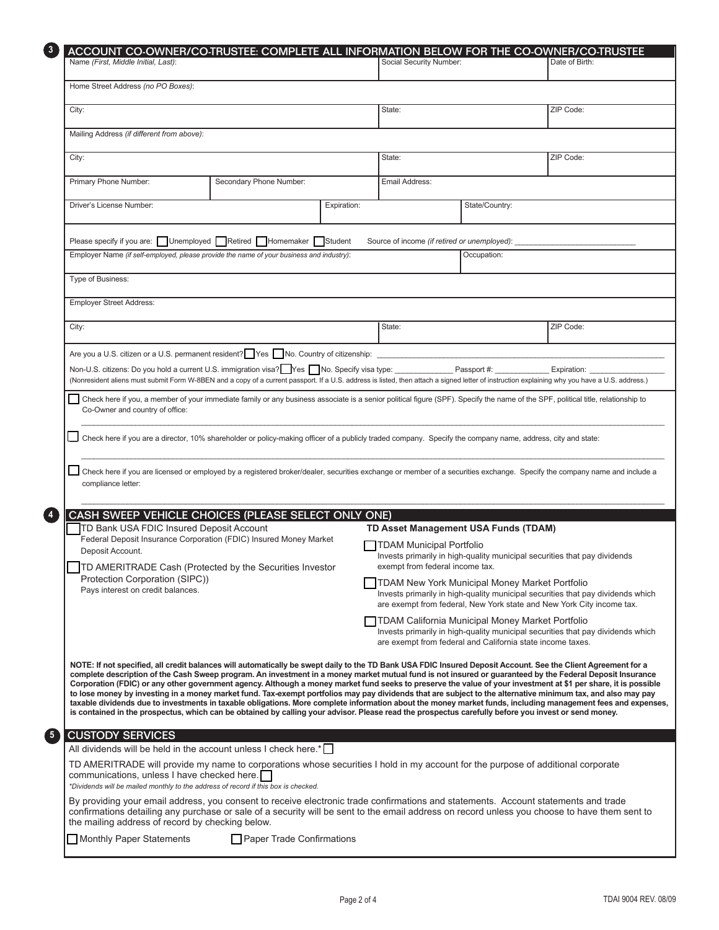| $\sqrt{3}$     | ACCOUNT CO-OWNER/CO-TRUSTEE: COMPLETE ALL INFORMATION BELOW FOR THE CO-OWNER/CO-TRUSTEE                                                                                                                                                                                                                                                                                                                                                                                                                                                                                                                                                                                                                                                                                                                                                                                                                                                                                               |  |             |                                                                                                                                                                                                   |                                                                           |                                                                                                                                                          |  |  |  |
|----------------|---------------------------------------------------------------------------------------------------------------------------------------------------------------------------------------------------------------------------------------------------------------------------------------------------------------------------------------------------------------------------------------------------------------------------------------------------------------------------------------------------------------------------------------------------------------------------------------------------------------------------------------------------------------------------------------------------------------------------------------------------------------------------------------------------------------------------------------------------------------------------------------------------------------------------------------------------------------------------------------|--|-------------|---------------------------------------------------------------------------------------------------------------------------------------------------------------------------------------------------|---------------------------------------------------------------------------|----------------------------------------------------------------------------------------------------------------------------------------------------------|--|--|--|
|                | Name (First, Middle Initial, Last):                                                                                                                                                                                                                                                                                                                                                                                                                                                                                                                                                                                                                                                                                                                                                                                                                                                                                                                                                   |  |             | Social Security Number:                                                                                                                                                                           |                                                                           | Date of Birth:                                                                                                                                           |  |  |  |
|                | Home Street Address (no PO Boxes):                                                                                                                                                                                                                                                                                                                                                                                                                                                                                                                                                                                                                                                                                                                                                                                                                                                                                                                                                    |  |             |                                                                                                                                                                                                   |                                                                           |                                                                                                                                                          |  |  |  |
|                | City:                                                                                                                                                                                                                                                                                                                                                                                                                                                                                                                                                                                                                                                                                                                                                                                                                                                                                                                                                                                 |  |             | State:                                                                                                                                                                                            |                                                                           | ZIP Code:                                                                                                                                                |  |  |  |
|                | Mailing Address (if different from above):                                                                                                                                                                                                                                                                                                                                                                                                                                                                                                                                                                                                                                                                                                                                                                                                                                                                                                                                            |  |             |                                                                                                                                                                                                   |                                                                           |                                                                                                                                                          |  |  |  |
|                | City:                                                                                                                                                                                                                                                                                                                                                                                                                                                                                                                                                                                                                                                                                                                                                                                                                                                                                                                                                                                 |  |             | State:                                                                                                                                                                                            |                                                                           | ZIP Code:                                                                                                                                                |  |  |  |
|                | Primary Phone Number:<br>Secondary Phone Number:                                                                                                                                                                                                                                                                                                                                                                                                                                                                                                                                                                                                                                                                                                                                                                                                                                                                                                                                      |  |             | Email Address:                                                                                                                                                                                    |                                                                           |                                                                                                                                                          |  |  |  |
|                | Driver's License Number:                                                                                                                                                                                                                                                                                                                                                                                                                                                                                                                                                                                                                                                                                                                                                                                                                                                                                                                                                              |  | Expiration: | State/Country:                                                                                                                                                                                    |                                                                           |                                                                                                                                                          |  |  |  |
|                | Please specify if you are: Unemployed Retired Homemaker Student<br>Source of income (if retired or unemployed):                                                                                                                                                                                                                                                                                                                                                                                                                                                                                                                                                                                                                                                                                                                                                                                                                                                                       |  |             |                                                                                                                                                                                                   |                                                                           |                                                                                                                                                          |  |  |  |
|                | Employer Name (if self-employed, please provide the name of your business and industry):                                                                                                                                                                                                                                                                                                                                                                                                                                                                                                                                                                                                                                                                                                                                                                                                                                                                                              |  | Occupation: |                                                                                                                                                                                                   |                                                                           |                                                                                                                                                          |  |  |  |
|                | Type of Business:                                                                                                                                                                                                                                                                                                                                                                                                                                                                                                                                                                                                                                                                                                                                                                                                                                                                                                                                                                     |  |             |                                                                                                                                                                                                   |                                                                           |                                                                                                                                                          |  |  |  |
|                | <b>Employer Street Address:</b>                                                                                                                                                                                                                                                                                                                                                                                                                                                                                                                                                                                                                                                                                                                                                                                                                                                                                                                                                       |  |             |                                                                                                                                                                                                   |                                                                           |                                                                                                                                                          |  |  |  |
|                | City:                                                                                                                                                                                                                                                                                                                                                                                                                                                                                                                                                                                                                                                                                                                                                                                                                                                                                                                                                                                 |  |             | State:                                                                                                                                                                                            |                                                                           | ZIP Code:                                                                                                                                                |  |  |  |
|                | Are you a U.S. citizen or a U.S. permanent resident? Pes No. Country of citizenship: example a U.S. citizen or a U.S. permanent resident? Pes No. Country of citizenship:                                                                                                                                                                                                                                                                                                                                                                                                                                                                                                                                                                                                                                                                                                                                                                                                             |  |             |                                                                                                                                                                                                   |                                                                           |                                                                                                                                                          |  |  |  |
|                | Non-U.S. citizens: Do you hold a current U.S. immigration visa? Yes No. Specify visa type: ______________ Passport #: _____________<br>Expiration: Expiration:<br>(Nonresident aliens must submit Form W-8BEN and a copy of a current passport. If a U.S. address is listed, then attach a signed letter of instruction explaining why you have a U.S. address.)                                                                                                                                                                                                                                                                                                                                                                                                                                                                                                                                                                                                                      |  |             |                                                                                                                                                                                                   |                                                                           |                                                                                                                                                          |  |  |  |
|                | Check here if you, a member of your immediate family or any business associate is a senior political figure (SPF). Specify the name of the SPF, political title, relationship to<br>Co-Owner and country of office:                                                                                                                                                                                                                                                                                                                                                                                                                                                                                                                                                                                                                                                                                                                                                                   |  |             |                                                                                                                                                                                                   |                                                                           |                                                                                                                                                          |  |  |  |
|                | Check here if you are a director, 10% shareholder or policy-making officer of a publicly traded company. Specify the company name, address, city and state:                                                                                                                                                                                                                                                                                                                                                                                                                                                                                                                                                                                                                                                                                                                                                                                                                           |  |             |                                                                                                                                                                                                   |                                                                           |                                                                                                                                                          |  |  |  |
|                | Check here if you are licensed or employed by a registered broker/dealer, securities exchange or member of a securities exchange. Specify the company name and include a<br>compliance letter:                                                                                                                                                                                                                                                                                                                                                                                                                                                                                                                                                                                                                                                                                                                                                                                        |  |             |                                                                                                                                                                                                   |                                                                           |                                                                                                                                                          |  |  |  |
| $\overline{4}$ | CASH SWEEP VEHICLE CHOICES (PLEASE SELECT ONLY ONE)                                                                                                                                                                                                                                                                                                                                                                                                                                                                                                                                                                                                                                                                                                                                                                                                                                                                                                                                   |  |             |                                                                                                                                                                                                   |                                                                           |                                                                                                                                                          |  |  |  |
|                | TD Bank USA FDIC Insured Deposit Account<br>Federal Deposit Insurance Corporation (FDIC) Insured Money Market                                                                                                                                                                                                                                                                                                                                                                                                                                                                                                                                                                                                                                                                                                                                                                                                                                                                         |  |             | TD Asset Management USA Funds (TDAM)                                                                                                                                                              |                                                                           |                                                                                                                                                          |  |  |  |
|                | Deposit Account.                                                                                                                                                                                                                                                                                                                                                                                                                                                                                                                                                                                                                                                                                                                                                                                                                                                                                                                                                                      |  |             | <b>TDAM Municipal Portfolio</b><br>exempt from federal income tax.                                                                                                                                | Invests primarily in high-quality municipal securities that pay dividends |                                                                                                                                                          |  |  |  |
|                | TD AMERITRADE Cash (Protected by the Securities Investor<br>Protection Corporation (SIPC))                                                                                                                                                                                                                                                                                                                                                                                                                                                                                                                                                                                                                                                                                                                                                                                                                                                                                            |  |             |                                                                                                                                                                                                   | TDAM New York Municipal Money Market Portfolio                            |                                                                                                                                                          |  |  |  |
|                | Pays interest on credit balances.                                                                                                                                                                                                                                                                                                                                                                                                                                                                                                                                                                                                                                                                                                                                                                                                                                                                                                                                                     |  |             |                                                                                                                                                                                                   |                                                                           | Invests primarily in high-quality municipal securities that pay dividends which<br>are exempt from federal, New York state and New York City income tax. |  |  |  |
|                |                                                                                                                                                                                                                                                                                                                                                                                                                                                                                                                                                                                                                                                                                                                                                                                                                                                                                                                                                                                       |  |             | TDAM California Municipal Money Market Portfolio<br>Invests primarily in high-quality municipal securities that pay dividends which<br>are exempt from federal and California state income taxes. |                                                                           |                                                                                                                                                          |  |  |  |
|                | NOTE: If not specified, all credit balances will automatically be swept daily to the TD Bank USA FDIC Insured Deposit Account. See the Client Agreement for a<br>complete description of the Cash Sweep program. An investment in a money market mutual fund is not insured or guaranteed by the Federal Deposit Insurance<br>Corporation (FDIC) or any other government agency. Although a money market fund seeks to preserve the value of your investment at \$1 per share, it is possible<br>to lose money by investing in a money market fund. Tax-exempt portfolios may pay dividends that are subject to the alternative minimum tax, and also may pay<br>taxable dividends due to investments in taxable obligations. More complete information about the money market funds, including management fees and expenses,<br>is contained in the prospectus, which can be obtained by calling your advisor. Please read the prospectus carefully before you invest or send money. |  |             |                                                                                                                                                                                                   |                                                                           |                                                                                                                                                          |  |  |  |
| 6              | <b>CUSTODY SERVICES</b><br>All dividends will be held in the account unless I check here.*                                                                                                                                                                                                                                                                                                                                                                                                                                                                                                                                                                                                                                                                                                                                                                                                                                                                                            |  |             |                                                                                                                                                                                                   |                                                                           |                                                                                                                                                          |  |  |  |
|                | TD AMERITRADE will provide my name to corporations whose securities I hold in my account for the purpose of additional corporate<br>communications, unless I have checked here.                                                                                                                                                                                                                                                                                                                                                                                                                                                                                                                                                                                                                                                                                                                                                                                                       |  |             |                                                                                                                                                                                                   |                                                                           |                                                                                                                                                          |  |  |  |
|                | *Dividends will be mailed monthly to the address of record if this box is checked.<br>By providing your email address, you consent to receive electronic trade confirmations and statements. Account statements and trade<br>confirmations detailing any purchase or sale of a security will be sent to the email address on record unless you choose to have them sent to<br>the mailing address of record by checking below.                                                                                                                                                                                                                                                                                                                                                                                                                                                                                                                                                        |  |             |                                                                                                                                                                                                   |                                                                           |                                                                                                                                                          |  |  |  |
|                | Paper Trade Confirmations<br>Monthly Paper Statements                                                                                                                                                                                                                                                                                                                                                                                                                                                                                                                                                                                                                                                                                                                                                                                                                                                                                                                                 |  |             |                                                                                                                                                                                                   |                                                                           |                                                                                                                                                          |  |  |  |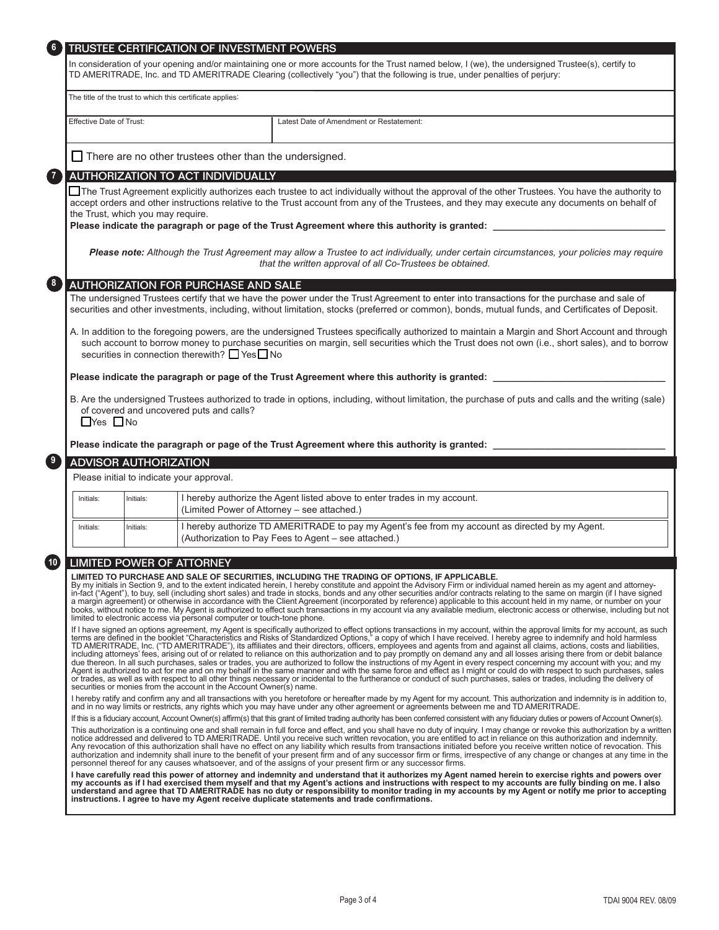|                                                                                                                                                                                                                                                                                                                                                    | TRUSTEE CERTIFICATION OF INVESTMENT POWERS                                                                                                                                                                                                                                        |                                                                                                                                                                                                                                                                                                                                                                                                                                                                                                                                                                                                                                                                                                                                                                                                                                                                                                                                                                                                                                                                                                                                                                                                                                                                                                                          |  |  |  |
|----------------------------------------------------------------------------------------------------------------------------------------------------------------------------------------------------------------------------------------------------------------------------------------------------------------------------------------------------|-----------------------------------------------------------------------------------------------------------------------------------------------------------------------------------------------------------------------------------------------------------------------------------|--------------------------------------------------------------------------------------------------------------------------------------------------------------------------------------------------------------------------------------------------------------------------------------------------------------------------------------------------------------------------------------------------------------------------------------------------------------------------------------------------------------------------------------------------------------------------------------------------------------------------------------------------------------------------------------------------------------------------------------------------------------------------------------------------------------------------------------------------------------------------------------------------------------------------------------------------------------------------------------------------------------------------------------------------------------------------------------------------------------------------------------------------------------------------------------------------------------------------------------------------------------------------------------------------------------------------|--|--|--|
|                                                                                                                                                                                                                                                                                                                                                    | In consideration of your opening and/or maintaining one or more accounts for the Trust named below, I (we), the undersigned Trustee(s), certify to<br>TD AMERITRADE, Inc. and TD AMERITRADE Clearing (collectively "you") that the following is true, under penalties of perjury: |                                                                                                                                                                                                                                                                                                                                                                                                                                                                                                                                                                                                                                                                                                                                                                                                                                                                                                                                                                                                                                                                                                                                                                                                                                                                                                                          |  |  |  |
|                                                                                                                                                                                                                                                                                                                                                    |                                                                                                                                                                                                                                                                                   | The title of the trust to which this certificate applies:                                                                                                                                                                                                                                                                                                                                                                                                                                                                                                                                                                                                                                                                                                                                                                                                                                                                                                                                                                                                                                                                                                                                                                                                                                                                |  |  |  |
| <b>Effective Date of Trust:</b>                                                                                                                                                                                                                                                                                                                    |                                                                                                                                                                                                                                                                                   | Latest Date of Amendment or Restatement:                                                                                                                                                                                                                                                                                                                                                                                                                                                                                                                                                                                                                                                                                                                                                                                                                                                                                                                                                                                                                                                                                                                                                                                                                                                                                 |  |  |  |
|                                                                                                                                                                                                                                                                                                                                                    |                                                                                                                                                                                                                                                                                   | $\Box$ There are no other trustees other than the undersigned.                                                                                                                                                                                                                                                                                                                                                                                                                                                                                                                                                                                                                                                                                                                                                                                                                                                                                                                                                                                                                                                                                                                                                                                                                                                           |  |  |  |
|                                                                                                                                                                                                                                                                                                                                                    |                                                                                                                                                                                                                                                                                   | AUTHORIZATION TO ACT INDIVIDUALLY                                                                                                                                                                                                                                                                                                                                                                                                                                                                                                                                                                                                                                                                                                                                                                                                                                                                                                                                                                                                                                                                                                                                                                                                                                                                                        |  |  |  |
|                                                                                                                                                                                                                                                                                                                                                    | the Trust, which you may require.                                                                                                                                                                                                                                                 | □ The Trust Agreement explicitly authorizes each trustee to act individually without the approval of the other Trustees. You have the authority to<br>accept orders and other instructions relative to the Trust account from any of the Trustees, and they may execute any documents on behalf of                                                                                                                                                                                                                                                                                                                                                                                                                                                                                                                                                                                                                                                                                                                                                                                                                                                                                                                                                                                                                       |  |  |  |
|                                                                                                                                                                                                                                                                                                                                                    |                                                                                                                                                                                                                                                                                   | Please note: Although the Trust Agreement may allow a Trustee to act individually, under certain circumstances, your policies may require<br>that the written approval of all Co-Trustees be obtained.                                                                                                                                                                                                                                                                                                                                                                                                                                                                                                                                                                                                                                                                                                                                                                                                                                                                                                                                                                                                                                                                                                                   |  |  |  |
|                                                                                                                                                                                                                                                                                                                                                    |                                                                                                                                                                                                                                                                                   | AUTHORIZATION FOR PURCHASE AND SALE                                                                                                                                                                                                                                                                                                                                                                                                                                                                                                                                                                                                                                                                                                                                                                                                                                                                                                                                                                                                                                                                                                                                                                                                                                                                                      |  |  |  |
|                                                                                                                                                                                                                                                                                                                                                    |                                                                                                                                                                                                                                                                                   | The undersigned Trustees certify that we have the power under the Trust Agreement to enter into transactions for the purchase and sale of<br>securities and other investments, including, without limitation, stocks (preferred or common), bonds, mutual funds, and Certificates of Deposit.                                                                                                                                                                                                                                                                                                                                                                                                                                                                                                                                                                                                                                                                                                                                                                                                                                                                                                                                                                                                                            |  |  |  |
| A. In addition to the foregoing powers, are the undersigned Trustees specifically authorized to maintain a Margin and Short Account and through<br>such account to borrow money to purchase securities on margin, sell securities which the Trust does not own (i.e., short sales), and to borrow<br>securities in connection therewith? □ Yes□ No |                                                                                                                                                                                                                                                                                   |                                                                                                                                                                                                                                                                                                                                                                                                                                                                                                                                                                                                                                                                                                                                                                                                                                                                                                                                                                                                                                                                                                                                                                                                                                                                                                                          |  |  |  |
|                                                                                                                                                                                                                                                                                                                                                    |                                                                                                                                                                                                                                                                                   |                                                                                                                                                                                                                                                                                                                                                                                                                                                                                                                                                                                                                                                                                                                                                                                                                                                                                                                                                                                                                                                                                                                                                                                                                                                                                                                          |  |  |  |
|                                                                                                                                                                                                                                                                                                                                                    |                                                                                                                                                                                                                                                                                   | Please indicate the paragraph or page of the Trust Agreement where this authority is granted: ____                                                                                                                                                                                                                                                                                                                                                                                                                                                                                                                                                                                                                                                                                                                                                                                                                                                                                                                                                                                                                                                                                                                                                                                                                       |  |  |  |
|                                                                                                                                                                                                                                                                                                                                                    |                                                                                                                                                                                                                                                                                   | B. Are the undersigned Trustees authorized to trade in options, including, without limitation, the purchase of puts and calls and the writing (sale)                                                                                                                                                                                                                                                                                                                                                                                                                                                                                                                                                                                                                                                                                                                                                                                                                                                                                                                                                                                                                                                                                                                                                                     |  |  |  |
| $\Box$ Yes $\Box$ No                                                                                                                                                                                                                                                                                                                               |                                                                                                                                                                                                                                                                                   | of covered and uncovered puts and calls?                                                                                                                                                                                                                                                                                                                                                                                                                                                                                                                                                                                                                                                                                                                                                                                                                                                                                                                                                                                                                                                                                                                                                                                                                                                                                 |  |  |  |
|                                                                                                                                                                                                                                                                                                                                                    |                                                                                                                                                                                                                                                                                   | Please indicate the paragraph or page of the Trust Agreement where this authority is granted: _                                                                                                                                                                                                                                                                                                                                                                                                                                                                                                                                                                                                                                                                                                                                                                                                                                                                                                                                                                                                                                                                                                                                                                                                                          |  |  |  |
|                                                                                                                                                                                                                                                                                                                                                    | <b>ADVISOR AUTHORIZATION</b>                                                                                                                                                                                                                                                      |                                                                                                                                                                                                                                                                                                                                                                                                                                                                                                                                                                                                                                                                                                                                                                                                                                                                                                                                                                                                                                                                                                                                                                                                                                                                                                                          |  |  |  |
|                                                                                                                                                                                                                                                                                                                                                    |                                                                                                                                                                                                                                                                                   | Please initial to indicate your approval.                                                                                                                                                                                                                                                                                                                                                                                                                                                                                                                                                                                                                                                                                                                                                                                                                                                                                                                                                                                                                                                                                                                                                                                                                                                                                |  |  |  |
| Initials:                                                                                                                                                                                                                                                                                                                                          | Initials:                                                                                                                                                                                                                                                                         | I hereby authorize the Agent listed above to enter trades in my account.<br>(Limited Power of Attorney - see attached.)                                                                                                                                                                                                                                                                                                                                                                                                                                                                                                                                                                                                                                                                                                                                                                                                                                                                                                                                                                                                                                                                                                                                                                                                  |  |  |  |
| Initials:                                                                                                                                                                                                                                                                                                                                          | Initials:                                                                                                                                                                                                                                                                         | I hereby authorize TD AMERITRADE to pay my Agent's fee from my account as directed by my Agent.<br>(Authorization to Pay Fees to Agent - see attached.)                                                                                                                                                                                                                                                                                                                                                                                                                                                                                                                                                                                                                                                                                                                                                                                                                                                                                                                                                                                                                                                                                                                                                                  |  |  |  |
|                                                                                                                                                                                                                                                                                                                                                    |                                                                                                                                                                                                                                                                                   |                                                                                                                                                                                                                                                                                                                                                                                                                                                                                                                                                                                                                                                                                                                                                                                                                                                                                                                                                                                                                                                                                                                                                                                                                                                                                                                          |  |  |  |
|                                                                                                                                                                                                                                                                                                                                                    |                                                                                                                                                                                                                                                                                   | <b>LIMITED POWER OF ATTORNEY</b><br>LIMITED TO PURCHASE AND SALE OF SECURITIES, INCLUDING THE TRADING OF OPTIONS, IF APPLICABLE.<br>By my initials in Section 9, and to the extent indicated herein, I hereby constitute and appoint the Advisory Firm or individual named herein as my agent and attorney-<br>in-fact ("Agent"), to buy, sell (including short sales) and trade in stocks, bonds and any other securities and/or contracts relating to the same on margin (if I have signed<br>a margin agreement) or otherwise in accordance with the Client Agreement (incorporated by reference) applicable to this account held in my name, or number on your<br>books, without notice to me. My Agent is authorized to effect such transactions in my account via any available medium, electronic access or otherwise, including but not                                                                                                                                                                                                                                                                                                                                                                                                                                                                          |  |  |  |
|                                                                                                                                                                                                                                                                                                                                                    |                                                                                                                                                                                                                                                                                   | limited to electronic access via personal computer or touch-tone phone.<br>If I have signed an options agreement, my Agent is specifically authorized to effect options transactions in my account, within the approval limits for my account, as such<br>terms are defined in the booklet "Characteristics and Risks of Standardized Options," a copy of which I have received. I hereby agree to indemnify and hold harmless<br>TD AMERITRADE, Inc. ("TD AMERITRADE"), its affiliates and their directors, officers, employees and agents from and against all claims, actions, costs and liabilities,<br>including attorneys' fees, arising out of or related to reliance on this authorization and to pay promptly on demand any and all losses arising there from or debit balance<br>due thereon. In all such purchases, sales or trades, you are authorized to follow the instructions of my Agent in every respect concerning my account with you; and my<br>Agent is authorized to act for me and on my behalf in the same manner and with the same force and effect as I might or could do with respect to such purchases, sales<br>or trades, as well as with respect to all other things necessary or incidental to the furtherance or conduct of such purchases, sales or trades, including the delivery of |  |  |  |
|                                                                                                                                                                                                                                                                                                                                                    |                                                                                                                                                                                                                                                                                   | securities or monies from the account in the Account Owner(s) name.<br>I hereby ratify and confirm any and all transactions with you heretofore or hereafter made by my Agent for my account. This authorization and indemnity is in addition to,<br>and in no way limits or restricts, any rights which you may have under any other agreement or agreements between me and TD AMERITRADE.                                                                                                                                                                                                                                                                                                                                                                                                                                                                                                                                                                                                                                                                                                                                                                                                                                                                                                                              |  |  |  |
|                                                                                                                                                                                                                                                                                                                                                    |                                                                                                                                                                                                                                                                                   | If this is a fiduciary account, Account Owner(s) affirm(s) that this grant of limited trading authority has been conferred consistent with any fiduciary duties or powers of Account Owner(s).<br>This authorization is a continuing one and shall remain in full force and effect, and you shall have no duty of inquiry. I may change or revoke this authorization by a written<br>notice addressed and delivered to TD AMERITRADE. Until you receive such written revocation, you are entitled to act in reliance on this authorization and indemnity.<br>Any revocation of this authorization shall have no effect on any liability which results from transactions initiated before you receive written notice of revocation. This<br>authorization and indemnity shall inure to the benefit of your present firm and of any successor firm or firms, irrespective of any change or changes at any time in the<br>personnel thereof for any causes whatsoever, and of the assigns of your present firm or any successor firms.                                                                                                                                                                                                                                                                                      |  |  |  |